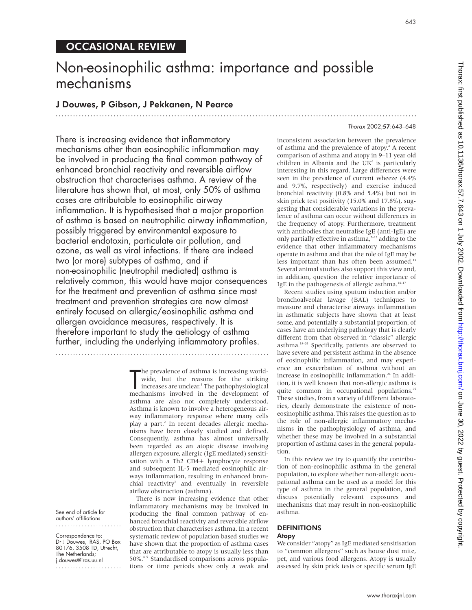# OCCASIONAL REVIEW

# Non-eosinophilic asthma: importance and possible mechanisms

#### J Douwes, P Gibson, J Pekkanen, N Pearce .............................................................................................................................

#### Thorax 2002;57:643–648

There is increasing evidence that inflammatory mechanisms other than eosinophilic inflammation may be involved in producing the final common pathway of enhanced bronchial reactivity and reversible airflow obstruction that characterises asthma. A review of the literature has shown that, at most, only 50% of asthma cases are attributable to eosinophilic airway inflammation. It is hypothesised that a major proportion of asthma is based on neutrophilic airway inflammation, possibly triggered by environmental exposure to bacterial endotoxin, particulate air pollution, and ozone, as well as viral infections. If there are indeed two (or more) subtypes of asthma, and if non-eosinophilic (neutrophil mediated) asthma is relatively common, this would have major consequences for the treatment and prevention of asthma since most treatment and prevention strategies are now almost entirely focused on allergic/eosinophilic asthma and allergen avoidance measures, respectively. It is therefore important to study the aetiology of asthma further, including the underlying inflammatory profiles.

..........................................................................

See end of article for authors' affiliations ....................... Correspondence to: Dr J Douwes, IRAS, PO Box 80176, 3508 TD, Utrecht, The Netherlands; j.douwes@iras.uu.nl .......................

The prevalence of asthma is increasing world-<br>wide, but the reasons for the striking<br>increases are unclear.<sup>1</sup> The pathophysiological<br>mechanisms involved in the development of he prevalence of asthma is increasing worldwide, but the reasons for the striking increases are unclear.<sup>1</sup> The pathophysiological asthma are also not completely understood. Asthma is known to involve a heterogeneous airway inflammatory response where many cells play a part.<sup>2</sup> In recent decades allergic mechanisms have been closely studied and defined. Consequently, asthma has almost universally been regarded as an atopic disease involving allergen exposure, allergic (IgE mediated) sensitisation with a Th2 CD4+ lymphocyte response and subsequent IL-5 mediated eosinophilic airways inflammation, resulting in enhanced bronchial reactivity<sup>3</sup> and eventually in reversible airflow obstruction (asthma).

There is now increasing evidence that other inflammatory mechanisms may be involved in producing the final common pathway of enhanced bronchial reactivity and reversible airflow obstruction that characterises asthma. In a recent systematic review of population based studies we have shown that the proportion of asthma cases that are attributable to atopy is usually less than 50%.4 5 Standardised comparisons across populations or time periods show only a weak and

inconsistent association between the prevalence of asthma and the prevalence of atopy.<sup>4</sup> A recent comparison of asthma and atopy in 9–11 year old children in Albania and the  $UK<sup>6</sup>$  is particularly interesting in this regard. Large differences were seen in the prevalence of current wheeze (4.4% and 9.7%, respectively) and exercise induced bronchial reactivity (0.8% and 5.4%) but not in skin prick test positivity (15.0% and 17.8%), suggesting that considerable variations in the prevalence of asthma can occur without differences in the frequency of atopy. Furthermore, treatment with antibodies that neutralise IgE (anti-IgE) are only partially effective in asthma, $7-12$  adding to the evidence that other inflammatory mechanisms operate in asthma and that the role of IgE may be less important than has often been assumed.<sup>13</sup> Several animal studies also support this view and, in addition, question the relative importance of IgE in the pathogenesis of allergic asthma.<sup>14-17</sup>

Recent studies using sputum induction and/or bronchoalveolar lavage (BAL) techniques to measure and characterise airways inflammation in asthmatic subjects have shown that at least some, and potentially a substantial proportion, of cases have an underlying pathology that is clearly different from that observed in "classic" allergic asthma.18–24 Specifically, patients are observed to have severe and persistent asthma in the absence of eosinophilic inflammation, and may experience an exacerbation of asthma without an increase in eosinophilic inflammation.<sup>24</sup> In addition, it is well known that non-allergic asthma is quite common in occupational populations.<sup>21</sup> These studies, from a variety of different laboratories, clearly demonstrate the existence of noneosinophilic asthma. This raises the question as to the role of non-allergic inflammatory mechanisms in the pathophysiology of asthma, and whether these may be involved in a substantial proportion of asthma cases in the general population.

In this review we try to quantify the contribution of non-eosinophilic asthma in the general population, to explore whether non-allergic occupational asthma can be used as a model for this type of asthma in the general population, and discuss potentially relevant exposures and mechanisms that may result in non-eosinophilic asthma.

### **DEFINITIONS** Atopy

We consider "atopy" as IgE mediated sensitisation to "common allergens" such as house dust mite, pet, and various food allergens. Atopy is usually assessed by skin prick tests or specific serum IgE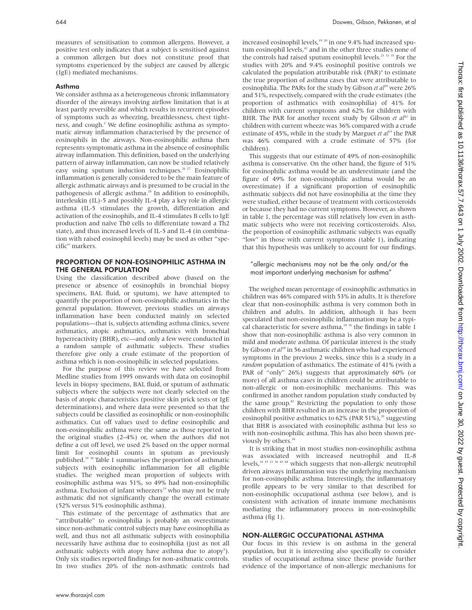measures of sensitisation to common allergens. However, a positive test only indicates that a subject is sensitised against a common allergen but does not constitute proof that symptoms experienced by the subject are caused by allergic (IgE) mediated mechanisms.

#### Asthma

We consider asthma as a heterogeneous chronic inflammatory disorder of the airways involving airflow limitation that is at least partly reversible and which results in recurrent episodes of symptoms such as wheezing, breathlessness, chest tightness, and cough.<sup>2</sup> We define eosinophilic asthma as symptomatic airway inflammation characterised by the presence of eosinophils in the airways. Non-eosinophilic asthma then represents symptomatic asthma in the absence of eosinophilic airway inflammation. This definition, based on the underlying pattern of airway inflammation, can now be studied relatively easy using sputum induction techniques.<sup>26 27</sup> Eosinophilic inflammation is generally considered to be the main feature of allergic asthmatic airways and is presumed to be crucial in the pathogenesis of allergic asthma.<sup>28</sup> In addition to eosinophils, interleukin (IL)-5 and possibly IL-4 play a key role in allergic asthma (IL-5 stimulates the growth, differentiation and activation of the eosinophils, and IL-4 stimulates B cells to IgE production and naïve Th0 cells to differentiate toward a Th2 state), and thus increased levels of IL-5 and IL-4 (in combination with raised eosinophil levels) may be used as other "specific" markers.

### PROPORTION OF NON-EOSINOPHILIC ASTHMA IN THE GENERAL POPULATION

Using the classification described above (based on the presence or absence of eosinophils in bronchial biopsy specimens, BAL fluid, or sputum), we have attempted to quantify the proportion of non-eosinophilic asthmatics in the general population. However, previous studies on airways inflammation have been conducted mainly on selected populations—that is, subjects attending asthma clinics, severe asthmatics, atopic asthmatics, asthmatics with bronchial hyperreactivity (BHR), etc—and only a few were conducted in a random sample of asthmatic subjects. These studies therefore give only a crude estimate of the proportion of asthma which is non-eosinophilic in selected populations.

For the purpose of this review we have selected from Medline studies from 1995 onwards with data on eosinophil levels in biopsy specimens, BAL fluid, or sputum of asthmatic subjects where the subjects were not clearly selected on the basis of atopic characteristics (positive skin prick tests or IgE determinations), and where data were presented so that the subjects could be classified as eosinophilic or non-eosinophilic asthmatics. Cut off values used to define eosinophilic and non-eosinophilic asthma were the same as those reported in the original studies (2–4%) or, when the authors did not define a cut off level, we used 2% based on the upper normal limit for eosinophil counts in sputum as previously published.29 30 Table 1 summarises the proportion of asthmatic subjects with eosinophilic inflammation for all eligible studies. The weighed mean proportion of subjects with eosinophilic asthma was 51%, so 49% had non-eosinophilic asthma. Exclusion of infant wheezers<sup>19</sup> who may not be truly asthmatic did not significantly change the overall estimate (52% versus 51% eosinophilic asthma).

This estimate of the percentage of asthmatics that are "attributable" to eosinophilia is probably an overestimate since non-asthmatic control subjects may have eosinophilia as well, and thus not all asthmatic subjects with eosinophilia necessarily have asthma due to eosinophilia (just as not all asthmatic subjects with atopy have asthma due to atopy<sup>4</sup>). Only six studies reported findings for non-asthmatic controls. In two studies 20% of the non-asthmatic controls had

increased eosinophil levels,<sup>19 20</sup> in one 9.4% had increased sputum eosinophil levels,<sup>42</sup> and in the other three studies none of the controls had raised sputum eosinophil levels.<sup>23 31</sup> <sup>35</sup> For the studies with 20% and 9.4% eosinophil positive controls we calculated the population attributable risk  $(PAR)^4$  to estimate the true proportion of asthma cases that were attributable to eosinophilia. The PARs for the study by Gibson et al<sup>20</sup> were 26% and 51%, respectively, compared with the crude estimates (the proportion of asthmatics with eosinophilia) of 41% for children with current symptoms and 62% for children with BHR. The PAR for another recent study by Gibson *et al*<sup>42</sup> in children with current wheeze was 36% compared with a crude estimate of 45%, while in the study by Marguet *et al*<sup>19</sup> the PAR was 46% compared with a crude estimate of 57% (for children).

This suggests that our estimate of 49% of non-eosinophilic asthma is conservative. On the other hand, the figure of 51% for eosinophilic asthma would be an underestimate (and the figure of 49% for non-eosinophilic asthma would be an overestimate) if a significant proportion of eosinophilic asthmatic subjects did not have eosinophilia at the time they were studied, either because of treatment with corticosteroids or because they had no current symptoms. However, as shown in table 1, the percentage was still relatively low even in asthmatic subjects who were not receiving corticosteroids. Also, the proportion of eosinophilic asthmatic subjects was equally "low" in those with current symptoms (table 1), indicating that this hypothesis was unlikely to account for our findings.

#### "allergic mechanisms may not be the only and/or the most important underlying mechanism for asthma"

The weighed mean percentage of eosinophilic asthmatics in children was 46% compared with 53% in adults. It is therefore clear that non-eosinophilic asthma is very common both in children and adults. In addition, although it has been speculated that non-eosinophilic inflammation may be a typical characteristic for severe asthma,<sup>18 36</sup> the findings in table 1 show that non-eosinophilic asthma is also very common in mild and moderate asthma. Of particular interest is the study by Gibson *et al*<sup>20</sup> in 56 asthmatic children who had experienced symptoms in the previous 2 weeks, since this is a study in a *random* population of asthmatics. The estimate of 41% (with a PAR of "only" 26%) suggests that approximately 60% (or more) of all asthma cases in children could be attributable to non-allergic or non-eosinophilic mechanisms. This was confirmed in another random population study conducted by the same group.<sup>42</sup> Restricting the population to only those children with BHR resulted in an increase in the proportion of eosinophil positive asthmatics to  $62\%$  (PAR 51%),<sup>20</sup> suggesting that BHR is associated with eosinophilic asthma but less so with non-eosinophilic asthma. This has also been shown previously by others.<sup>24</sup>

It is striking that in most studies non-eosinophilic asthma was associated with increased neutrophil and IL-8 levels,18 19 21 36 43 44 which suggests that non-allergic neutrophil driven airways inflammation was the underlying mechanism for non-eosinophilic asthma. Interestingly, the inflammatory profile appears to be very similar to that described for non-eosinophilic occupational asthma (see below), and is consistent with activation of innate immune mechanisms mediating the inflammatory process in non-eosinophilic asthma (fig 1).

#### NON-ALLERGIC OCCUPATIONAL ASTHMA

Our focus in this review is on asthma in the general population, but it is interesting also specifically to consider studies of occupational asthma since these provide further evidence of the importance of non-allergic mechanisms for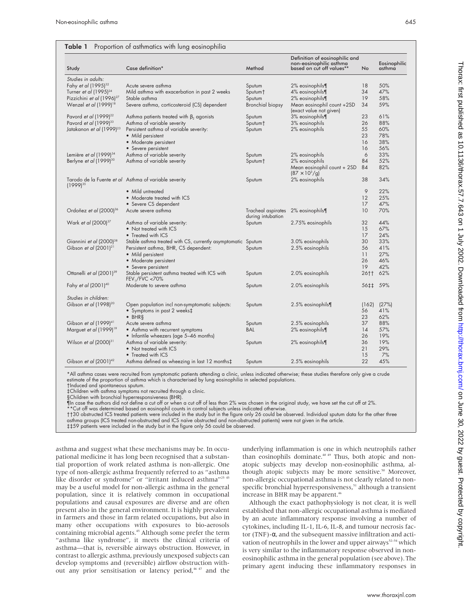| Table 1 | Proportion of asthmatics with lung eosinophilia |  |
|---------|-------------------------------------------------|--|
|         |                                                 |  |

| Study                                 | Case definition*                                                | Method                                                  | Definition of eosinophilic and<br>non-eosinophilic asthma<br>based on cut off values** | No       | Eosinophilic<br>asthma |
|---------------------------------------|-----------------------------------------------------------------|---------------------------------------------------------|----------------------------------------------------------------------------------------|----------|------------------------|
| Studies in adults:                    |                                                                 |                                                         |                                                                                        |          |                        |
| Fahy et al (1995) <sup>32</sup>       | Acute severe asthma                                             | Sputum                                                  | 2% eosinophils¶                                                                        | 18       | 50%                    |
| Turner et al (1995) <sup>24</sup>     | Mild asthma with exacerbation in past 2 weeks                   | Sputum <sup>+</sup>                                     | 4% eosinophils¶                                                                        | 34       | 47%                    |
| Pizzichini et al (1996) <sup>27</sup> | Stable asthma                                                   | Sputum                                                  | 2% eosinophils¶                                                                        | 19       | 58%                    |
| Wenzel et al (1999) <sup>18</sup>     | Severe asthma, corticosteroid (CS) dependent                    | <b>Bronchial biopsy</b>                                 | Mean eosinophil count +2SD<br>(exact value not given)                                  | 34       | 59%                    |
| Pavord et al $(1999)^{22}$            | Asthma patients treated with $\beta_2$ agonists                 | Sputum                                                  | 3% eosinophils¶                                                                        | 23       | 61%                    |
| Pavord et al (1999) <sup>33</sup>     | Asthma of variable severity                                     | Sputum <sup>+</sup>                                     | 3% eosinophils                                                                         | 26       | 88%                    |
| Jatakanon et al (1999) <sup>23</sup>  | Persistent asthma of variable severity:                         | Sputum                                                  | 2% eosinophils                                                                         | 55       | 60%                    |
|                                       | • Mild persistent                                               |                                                         |                                                                                        | 23       | 78%                    |
|                                       | • Moderate persistent                                           |                                                         |                                                                                        | 16       | 38%                    |
|                                       | • Severe persistent                                             |                                                         |                                                                                        | 16       | 56%                    |
| Lemière et al (1999) <sup>34</sup>    | Asthma of variable severity                                     | Sputum                                                  | 2% eosinophils                                                                         | 6        | 33%                    |
| Berlyne et al (1999) <sup>30</sup>    | Asthma of variable severity                                     | Sputum <sup>†</sup>                                     | 2% eosinophils                                                                         | 84       | 52%                    |
|                                       |                                                                 |                                                         | Mean eosinophil count + 2SD<br>$(87 \times 10^3/g)$                                    | 84       | 82%                    |
| $(1999)^{35}$                         | Tarodo de la Fuente et al Asthma of variable severity           | Sputum                                                  | 2% eosinophils                                                                         | 38       | 34%                    |
|                                       | • Mild untreated                                                |                                                         |                                                                                        | 9        | 22%                    |
|                                       | • Moderate treated with ICS                                     |                                                         |                                                                                        | 12       | 25%                    |
|                                       | • Severe CS dependent                                           |                                                         |                                                                                        | 17       | 47%                    |
| Ordoñez et al (2000) <sup>36</sup>    | Acute severe asthma                                             | Tracheal aspirates 2% eosinophils¶<br>during intubation |                                                                                        | 10       | 70%                    |
| Wark et al (2000) <sup>37</sup>       | Asthma of variable severity:                                    | Sputum                                                  | 2.75% eosinophils                                                                      | 32       | 44%                    |
|                                       | • Not treated with ICS                                          |                                                         |                                                                                        | 15       | 67%                    |
|                                       | • Treated with ICS                                              |                                                         |                                                                                        | 17       | 24%                    |
| Giannini et al (2000) <sup>38</sup>   | Stable asthma treated with CS, currently asymptomatic Sputum    |                                                         | 3.0% eosinophils                                                                       | 30       | 33%                    |
| Gibson et al $(2001)^{21}$            | Persistent asthma, BHR, CS dependent:                           | Sputum                                                  | 2.5% eosinophils                                                                       | 56       | 41%                    |
|                                       | • Mild persistent                                               |                                                         |                                                                                        | 11       | 27%                    |
|                                       | • Moderate persistent                                           |                                                         |                                                                                        | 26       | 46%                    |
|                                       | • Severe persistent                                             |                                                         |                                                                                        | 19       | 42%                    |
| Ottanelli et al (2001) <sup>39</sup>  | Stable persistent asthma treated with ICS with<br>FEV,/FVC <70% | Sputum                                                  | 2.0% eosinophils                                                                       | 26††     | 62%                    |
| Fahy et al (2001) <sup>40</sup>       | Moderate to severe asthma                                       | Sputum                                                  | 2.0% eosinophils                                                                       | 56‡‡ 59% |                        |
| Studies in children:                  |                                                                 |                                                         |                                                                                        |          |                        |
| Gibson et al (1998) <sup>20</sup>     | Open population incl non-symptomatic subjects:                  | Sputum                                                  | 2.5% eosinophils¶                                                                      | (162)    | (27%)                  |
|                                       | • Symptoms in past 2 weeks‡                                     |                                                         |                                                                                        | 56       | 41%                    |
|                                       | $-BHRS$                                                         |                                                         |                                                                                        | 23       | 62%                    |
| Gibson et al (1999) <sup>41</sup>     | Acute severe asthma                                             | Sputum                                                  | 2.5% eosinophils                                                                       | 37       | 88%                    |
| Marguet et al (1999) <sup>19</sup>    | • Asthma with recurrent symptoms                                | <b>BAL</b>                                              | 2% eosinophils¶                                                                        | 14       | 57%                    |
|                                       | • Infantile wheezers (age 5-46 months)                          |                                                         |                                                                                        | 26       | 19%                    |
| Wilson et al (2000) <sup>31</sup>     | Asthma of variable severity:                                    | Sputum                                                  | 2% eosinophils¶                                                                        | 36       | 19%                    |
|                                       | • Not treated with ICS                                          |                                                         |                                                                                        | 21       | 29%                    |
|                                       | • Treated with ICS                                              |                                                         |                                                                                        | 15       | 7%                     |
| Gibson et al (2001) <sup>42</sup>     | Asthma defined as wheezing in last 12 months‡                   | Sputum                                                  | 2.5% eosinophils                                                                       | 22       | 45%                    |

\*All asthma cases were recruited from symptomatic patients attending a clinic, unless indicated otherwise; these studies therefore only give a crude estimate of the proportion of asthma which is characterised by lung eosinophilia in selected populations.

†Induced and spontaneous sputum.

‡Children with asthma symptoms not recruited through a clinic.

§Children with bronchial hyperresponsiveness (BHR).

¶In case the authors did not detine a cut ott or when a cut ott ot less than 2% was chosen in the original study, we have set the cut ott at 2%.<br>\*\*Cut off was determined based on eosinophil counts in control subjects unles

††30 obstructed ICS treated patients were included in the study but in the figure only 26 could be observed. Individual sputum data for the other three asthma groups (ICS treated non-obstructed and ICS naïve obstructed and non-obstructed patients) were not given in the article.

‡‡59 patients were included in the study but in the figure only 56 could be observed.

asthma and suggest what these mechanisms may be. In occupational medicine it has long been recognised that a substantial proportion of work related asthma is non-allergic. One type of non-allergic asthma frequently referred to as "asthma like disorder or syndrome" or "irritant induced asthma"<sup>25 45</sup> may be a useful model for non-allergic asthma in the general population, since it is relatively common in occupational populations and causal exposures are diverse and are often present also in the general environment. It is highly prevalent in farmers and those in farm related occupations, but also in many other occupations with exposures to bio-aerosols containing microbial agents.45 Although some prefer the term "asthma like syndrome", it meets the clinical criteria of asthma—that is, reversible airways obstruction. However, in contrast to allergic asthma, previously unexposed subjects can develop symptoms and (reversible) airflow obstruction without any prior sensitisation or latency period,<sup>46 47</sup> and the underlying inflammation is one in which neutrophils rather than eosinophils dominate.<sup>48 49</sup> Thus, both atopic and nonatopic subjects may develop non-eosinophilic asthma, although atopic subjects may be more sensitive.<sup>50</sup> Moreover, non-allergic occupational asthma is not clearly related to nonspecific bronchial hyperresponsiveness,<sup>51</sup> although a transient increase in BHR may be apparent.<sup>46</sup>

Although the exact pathophysiology is not clear, it is well established that non-allergic occupational asthma is mediated by an acute inflammatory response involving a number of cytokines, including IL-1, IL-6, IL-8, and tumour necrosis factor (TNF)-α, and the subsequent massive infiltration and activation of neutrophils in the lower and upper airways<sup>52-54</sup> which is very similar to the inflammatory response observed in noneosinophilic asthma in the general population (see above). The primary agent inducing these inflammatory responses in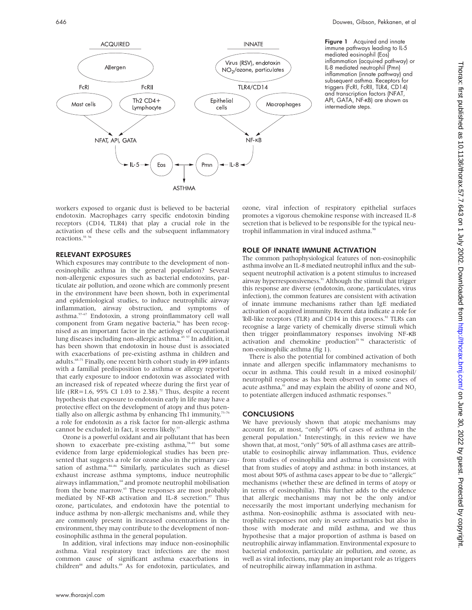

Figure 1 Acquired and innate immune pathways leading to IL-5 mediated eosinophil (Eos) inflammation (acquired pathway) or IL-8 mediated neutrophil (Pmn) inflammation (innate pathway) and subsequent asthma. Receptors for triggers (FcRI, FcRII, TLR4, CD14) and transcription factors (NFAT, API, GATA, NF-κB) are shown as intermediate steps.

workers exposed to organic dust is believed to be bacterial endotoxin. Macrophages carry specific endotoxin binding receptors (CD14, TLR4) that play a crucial role in the activation of these cells and the subsequent inflammatory reactions.<sup>55 56</sup>

ozone, viral infection of respiratory epithelial surfaces promotes a vigorous chemokine response with increased IL-8 secretion that is believed to be responsible for the typical neutrophil inflammation in viral induced asthma.<sup>90</sup>

### RELEVANT EXPOSURES

Which exposures may contribute to the development of noneosinophilic asthma in the general population? Several non-allergenic exposures such as bacterial endotoxins, particulate air pollution, and ozone which are commonly present in the environment have been shown, both in experimental and epidemiological studies, to induce neutrophilic airway inflammation, airway obstruction, and symptoms of asthma.57–67 Endotoxin, a strong proinflammatory cell wall component from Gram negative bacteria,<sup>56</sup> has been recognised as an important factor in the aetiology of occupational lung diseases including non-allergic asthma.45 57 In addition, it has been shown that endotoxin in house dust is associated with exacerbations of pre-existing asthma in children and adults.<sup>68-71</sup> Finally, one recent birth cohort study in 499 infants with a familial predisposition to asthma or allergy reported that early exposure to indoor endotoxin was associated with an increased risk of repeated wheeze during the first year of life (RR=1.6, 95% CI 1.03 to 2.38).<sup>72</sup> Thus, despite a recent hypothesis that exposure to endotoxin early in life may have a protective effect on the development of atopy and thus potentially also on allergic asthma by enhancing Th1 immunity, $73-76$ a role for endotoxin as a risk factor for non-allergic asthma cannot be excluded; in fact, it seems likely.<sup>77</sup>

Ozone is a powerful oxidant and air pollutant that has been shown to exacerbate pre-existing asthma,<sup>78-83</sup> but some evidence from large epidemiological studies has been presented that suggests a role for ozone also in the primary causation of asthma.<sup>84-86</sup> Similarly, particulates such as diesel exhaust increase asthma symptoms, induce neutrophilic airways inflammation,<sup>64</sup> and promote neutrophil mobilisation from the bone marrow.<sup>65</sup> These responses are most probably mediated by NF-κB activation and IL-8 secretion.<sup>87</sup> Thus ozone, particulates, and endotoxin have the potential to induce asthma by non-allergic mechanisms and, while they are commonly present in increased concentrations in the environment, they may contribute to the development of noneosinophilic asthma in the general population.

In addition, viral infections may induce non-eosinophilic asthma. Viral respiratory tract infections are the most common cause of significant asthma exacerbations in children<sup>88</sup> and adults.<sup>89</sup> As for endotoxin, particulates, and

# ROLE OF INNATE IMMUNE ACTIVATION

The common pathophysiological features of non-eosinophilic asthma involve an IL-8 mediated neutrophil influx and the subsequent neutrophil activation is a potent stimulus to increased airway hyperresponsiveness.<sup>91</sup> Although the stimuli that trigger this response are diverse (endotoxin, ozone, particulates, virus infection), the common features are consistent with activation of innate immune mechanisms rather than IgE mediated activation of acquired immunity. Recent data indicate a role for Toll-like receptors (TLR) and CD14 in this process. $92$  TLRs can recognise a large variety of chemically diverse stimuli which then trigger proinflammatory responses involving NF-κB activation and chemokine production<sup>93 94</sup> characteristic of non-eosinophilic asthma (fig 1).

There is also the potential for combined activation of both innate and allergen specific inflammatory mechanisms to occur in asthma. This could result in a mixed eosinophil/ neutrophil response as has been observed in some cases of acute asthma, $41$  and may explain the ability of ozone and NO<sub>2</sub> to potentiate allergen induced asthmatic responses.<sup>95</sup>

#### **CONCLUSIONS**

We have previously shown that atopic mechanisms may account for, at most, "only" 40% of cases of asthma in the general population.<sup>4</sup> Interestingly, in this review we have shown that, at most, "only" 50% of all asthma cases are attributable to eosinophilic airway inflammation. Thus, evidence from studies of eosinophilia and asthma is consistent with that from studies of atopy and asthma: in both instances, at most about 50% of asthma cases appear to be due to "allergic" mechanisms (whether these are defined in terms of atopy or in terms of eosinophilia). This further adds to the evidence that allergic mechanisms may not be the only and/or necessarily the most important underlying mechanism for asthma. Non-eosinophilic asthma is associated with neutrophilic responses not only in severe asthmatics but also in those with moderate and mild asthma, and we thus hypothesise that a major proportion of asthma is based on neutrophilic airway inflammation. Environmental exposure to bacterial endotoxin, particulate air pollution, and ozone, as well as viral infections, may play an important role as triggers of neutrophilic airway inflammation in asthma.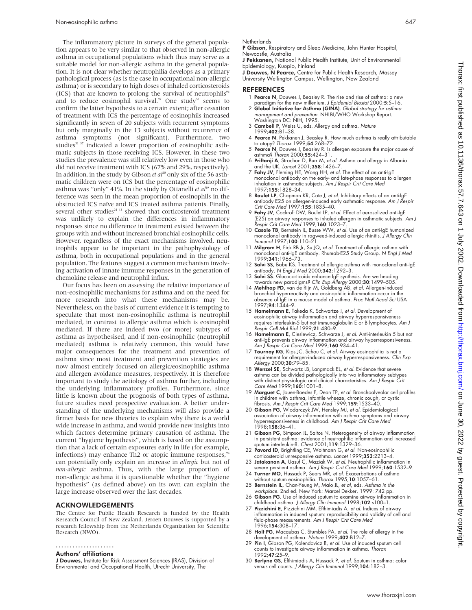The inflammatory picture in surveys of the general population appears to be very similar to that observed in non-allergic asthma in occupational populations which thus may serve as a suitable model for non-allergic asthma in the general population. It is not clear whether neutrophilia develops as a primary pathological process (as is the case in occupational non-allergic asthma) or is secondary to high doses of inhaled corticosteroids (ICS) that are known to prolong the survival of neutrophils<sup>96</sup> and to reduce eosinophil survival.<sup>97</sup> One study<sup>38</sup> seems to confirm the latter hypothesis to a certain extent; after cessation of treatment with ICS the percentage of eosinophils increased significantly in seven of 20 subjects with recurrent symptoms but only marginally in the 13 subjects without recurrence of asthma symptoms (not significant). Furthermore, two studies<sup>31 37</sup> indicated a lower proportion of eosinophilic asthmatic subjects in those receiving ICS. However, in these two studies the prevalence was still relatively low even in those who did not receive treatment with ICS (67% and 29%, respectively). In addition, in the study by Gibson *et al*<sup>20</sup> only six of the 56 asthmatic children were on ICS but the percentage of eosinophilic asthma was "only" 41%. In the study by Ottanelli *et al*<sup>39</sup> no difference was seen in the mean proportion of eosinophils in the obstructed ICS naïve and ICS treated asthma patients. Finally, several other studies<sup>24 43</sup> showed that corticosteroid treatment was unlikely to explain the differences in inflammatory responses since no difference in treatment existed between the groups with and without increased bronchial eosinophilic cells. However, regardless of the exact mechanisms involved, neutrophils appear to be important in the pathophysiology of asthma, both in occupational populations and in the general population. The features suggest a common mechanism involving activation of innate immune responses in the generation of chemokine release and neutrophil influx.

Our focus has been on assessing the relative importance of non-eosinophilic mechanisms for asthma and on the need for more research into what these mechanisms may be. Nevertheless, on the basis of current evidence it is tempting to speculate that most non-eosinophilic asthma is neutrophil mediated, in contrast to allergic asthma which is eosinophil mediated. If there are indeed two (or more) subtypes of asthma as hypothesised, and if non-eosinophilic (neutrophil mediated) asthma is relatively common, this would have major consequences for the treatment and prevention of asthma since most treatment and prevention strategies are now almost entirely focused on allergic/eosinophilic asthma and allergen avoidance measures, respectively. It is therefore important to study the aetiology of asthma further, including the underlying inflammatory profiles. Furthermore, since little is known about the prognosis of both types of asthma, future studies need prospective evaluation. A better understanding of the underlying mechanisms will also provide a firmer basis for new theories to explain why there is a world wide increase in asthma, and would provide new insights into which factors determine primary causation of asthma. The current "hygiene hypothesis", which is based on the assumption that a lack of certain exposures early in life (for example, infections) may enhance Th2 or atopic immune responses,<sup>7</sup> can potentially only explain an increase in *allergic* but not of *non-allergic* asthma. Thus, with the large proportion of non-allergic asthma it is questionable whether the "hygiene hypothesis" (as defined above) on its own can explain the large increase observed over the last decades.

#### ACKNOWLEDGEMENTS

The Centre for Public Health Research is funded by the Health Research Council of New Zealand. Jeroen Douwes is supported by a research fellowship from the Netherlands Organization for Scientific Research (NWO).

#### .....................

## Authors' affiliations

J Douwes, Institute for Risk Assessment Sciences (IRAS), Division of Environmental and Occupational Health, Utrecht University, The

#### **Netherlands**

P Gibson, Respiratory and Sleep Medicine, John Hunter Hospital, Newcastle, Australia

J Pekkanen, National Public Health Institute, Unit of Environmental Epidemiology, Kuopio, Finland

J Douwes, N Pearce, Centre for Public Health Research, Massey University Wellington Campus, Wellington, New Zealand

#### REFERENCES

- 1 Pearce N, Douwes J, Beasley R. The rise and rise of asthma: a new
- paradigm for the new millenium. J Epidemiol Biostat 2000;5:5–16.<br>2 **Global Initiative for Asthma (GINA)**. Global strategy for asthma managemen<sup>t</sup> and prevention. NHLBI/WHO Workshop Report. Washington DC: NIH, 1995
- 3 Cambell P, Weiss U, eds. Allergy and asthma. Nature 1999;402:B1–38.
- 4 Pearce N, Pekkanen J, Beasley R. How much asthma is really attributable to atopy? Thorax 1999;54:268–72.
- 5 Pearce N, Douwes J, Beasley R. Is allergen exposure the major cause of asthma? Thorax 2000;55:424–31.
- 6 Priftanji A, Strachan D, Burr M, et al. Asthma and allergy in Albania and the UK. Lancet 2001;358:1426-7
- 7 Fahy JV, Fleming HE, Wong HH, et al. The effect of an anti-IgE monoclonal antibody on the early- and late-phase responses to allergen inhalation in asthmatic subjects. Am J Respir Crit Care Med 1997;155:1828–34.
- 8 Boulet LP, Chapman KR, Cote J, et al. Inhibitory effects of an anti-IgE antibody E25 on allergen-induced early asthmatic response. Am J Respir Crit Care Med 1997;155:1835-40.
- 9 Fahy JV, Cockroft DW, Boulet LP, et al. Effect of aerosolized anti-IgE (E25) on airway responses to inhaled allergen in asthmatic subjects. Am J Respir Crit Care Med 1999;160:1023–7.
- 10 Casale TB, Bernstein IL, Busse WW, et al. Use of an anti-IgE humanized monoclonal antibody in ragweed-induced allergic rhinitis. J Allergy Clin Immunol 1997;100:110–21.
- 11 Milgrom H, Fick RB Jr, Su JQ, et al. Treatment of allergic asthma with monoclonal anti-IgE antibody. Rhumab-E25 Study Group. N Engl J Med 1999;341:1966–73.
- 12 Salvi SS, Babu KS. Treatment of allergic asthma with monoclonal anti-IgE antibody. N Engl J Med 2000;342:1292–3.
- 13 Salvi SS. Glucocorticoids enhance IgE synthesis. Are we heading towards new paradigms? Clin Exp Allergy 2000;**30**:1499–505.
- 14 Mehlhop PD, van de Rijn M, Goldberg AB, et al. Allergen-induced bronchial hyperreactivity and eosinophilic inflammation occur in the absence of IgE in a mouse model of asthma. Proc Natl Acad Sci USA 1997;94:1344–9.
- 15 Hamelmann E, Takeda K, Schwartze J, et al. Development of eosinophilic airway inflammation and airway hyperresponsiveness requires interleukin-5 but not immunoglobulin E or B lymphocytes. Am J Respir Cell Mol Biol 1999;21:480–9.
- 16 Hamelmann E, Cieslewicz, Schwarze J, et al. Anti-interleukin 5 but not anti-IgE prevents airway inflammation and airway hyperresponsiveness. Am J Respir Crit Care Med 1999;160:934–41.
- 17 Tournoy KG, Kips JC, Schou C, et al. Airway eosinophilia is not a requirement for allergen-induced airway hyperresponsiveness. Clin Exp Allergy 2000;30:79-85.
- 18 Wenzel SE, Schwartz LB, Langmack EL, et al. Evidence that severe asthma can be divided pathologically into two inflammatory subtypes with distinct physiologic and clinical characteristics. Am J Respir Crit Care Med 1999;160:1001-8.
- 19 Marguet C, Jouen-Boedes F, Dean TP, et al. Bronchoalveolar cell profiles in children with asthma, infantile wheeze, chronic cough, or cystic fibrosis. Am J Respir Crit Care Med 1999;159:1533–40.
- 20 Gibson PG, Wlodarczyk JW, Hensley MJ, et al. Epidemiological association of airway inflammation with asthma symptoms and airway hyperresponsiveness in childhood. Am J Respir Crit Care Med  $998;158:36-41.$
- 21 Gibson PG, Simpson JL, Saltos N. Heterogeneity of airway inflammation in persistent asthma: evidence of neutrophilic inflammation and increased sputum interleukin-8. Chest 2001;119:1329–36.
- 22 Pavord ID, Brightling CE, Woltmann G, et al. Non-eosinophilic
- corticosteroid unresponsive asthma. Lancet 1999;**353**:2213–4.<br>23 **Jatakanon A**, Uasuf C, Maziak W, et al. Neutrophilic inflammation in<br>severe persitent asthma. Am J Respir Crit Care Med 1999;1**60**:1532–9.
- 24 Turner MO, Hussack P, Sears MR, et al. Exacerbations of asthma without sputum eosinophilia. Thorax 1995;10:1057-61.
- 25 Bernstein IL, Chan-Yeung M, Malo JL, et al, eds. Asthma in the workplace. 2nd ed. New York: Marcel Dekker, 1999: 742 pp.
- 26 Gibson PG. Use of induced sputum to examine airway inflammation in childhood asthma. J Allergy Clin Immunol 1998;102:s100–1.
- 27 Pizzichini E, Pizzichini MM, Efthimiadis A, et al. Indices of airway inflammation in induced sputum: reproducibility and validity of cell and fluid-phase measurements. Am J Respir Crit Care Med 1996;154:308–17.
- 28 **Holt PG**, Macaubas C, Stumbles PA, *et al*. The role of allergy in the<br>development of asthma. Nature 1999;4**02**:B12–7.<br>29 **Pin I**, Gibson PG, Kolendovicz R, *et al*. Use of induced sputum cell
- counts to investigate airway inflammation in asthma. Thorax 1992;47:25–9.
- 30 Berlyne GS, Efthimiadis A, Hussack P, et al. Sputum in asthma: color versus cell counts. J Allergy Clin Immunol 1999;104:182-3.